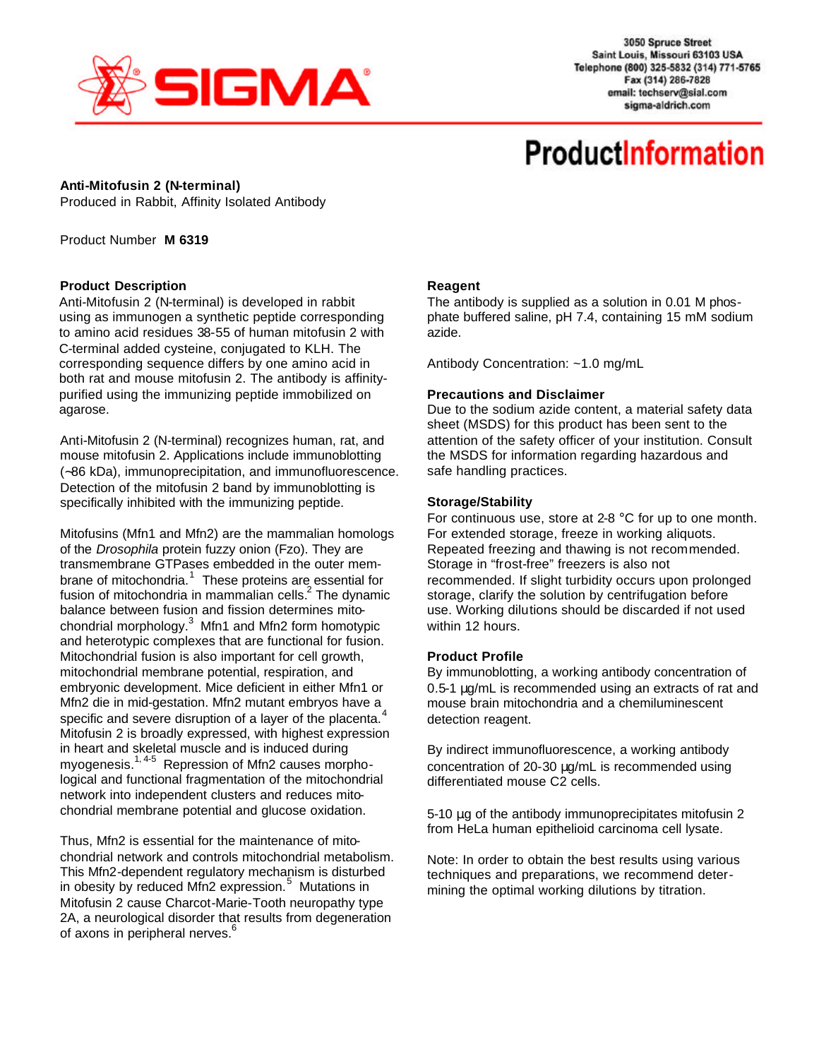

3050 Spruce Street Saint Louis, Missouri 63103 USA Telephone (800) 325-5832 (314) 771-5765 Fax (314) 286-7828 email: techserv@sial.com sigma-aldrich.com

# **ProductInformation**

### **Anti-Mitofusin 2 (N-terminal)**

Produced in Rabbit, Affinity Isolated Antibody

Product Number **M 6319**

### **Product Description**

Anti-Mitofusin 2 (N-terminal) is developed in rabbit using as immunogen a synthetic peptide corresponding to amino acid residues 38-55 of human mitofusin 2 with C-terminal added cysteine, conjugated to KLH. The corresponding sequence differs by one amino acid in both rat and mouse mitofusin 2. The antibody is affinitypurified using the immunizing peptide immobilized on agarose.

Anti-Mitofusin 2 (N-terminal) recognizes human, rat, and mouse mitofusin 2. Applications include immunoblotting (∼86 kDa), immunoprecipitation, and immunofluorescence. Detection of the mitofusin 2 band by immunoblotting is specifically inhibited with the immunizing peptide.

Mitofusins (Mfn1 and Mfn2) are the mammalian homologs of the *Drosophila* protein fuzzy onion (Fzo). They are transmembrane GTPases embedded in the outer membrane of mitochondria.<sup>1</sup> These proteins are essential for fusion of mitochondria in mammalian cells. $^2$  The dynamic balance between fusion and fission determines mitochondrial morphology. $3$  Mfn1 and Mfn2 form homotypic and heterotypic complexes that are functional for fusion. Mitochondrial fusion is also important for cell growth, mitochondrial membrane potential, respiration, and embryonic development. Mice deficient in either Mfn1 or Mfn2 die in mid-gestation. Mfn2 mutant embryos have a specific and severe disruption of a layer of the placenta. $4$ Mitofusin 2 is broadly expressed, with highest expression in heart and skeletal muscle and is induced during myogenesis.<sup>1,4-5</sup> Repression of Mfn2 causes morphological and functional fragmentation of the mitochondrial network into independent clusters and reduces mitochondrial membrane potential and glucose oxidation.

Thus, Mfn2 is essential for the maintenance of mitochondrial network and controls mitochondrial metabolism. This Mfn2-dependent regulatory mechanism is disturbed in obesity by reduced Mm<sup>2</sup> expression.<sup>5</sup> Mutations in Mitofusin 2 cause Charcot-Marie-Tooth neuropathy type 2A, a neurological disorder that results from degeneration of axons in peripheral nerves.<sup>6</sup>

# **Reagent**

The antibody is supplied as a solution in 0.01 M phosphate buffered saline, pH 7.4, containing 15 mM sodium azide.

Antibody Concentration: ~1.0 mg/mL

### **Precautions and Disclaimer**

Due to the sodium azide content, a material safety data sheet (MSDS) for this product has been sent to the attention of the safety officer of your institution. Consult the MSDS for information regarding hazardous and safe handling practices.

### **Storage/Stability**

For continuous use, store at 2-8 °C for up to one month. For extended storage, freeze in working aliquots. Repeated freezing and thawing is not recommended. Storage in "frost-free" freezers is also not recommended. If slight turbidity occurs upon prolonged storage, clarify the solution by centrifugation before use. Working dilutions should be discarded if not used within 12 hours.

# **Product Profile**

By immunoblotting, a working antibody concentration of 0.5-1 μg/mL is recommended using an extracts of rat and mouse brain mitochondria and a chemiluminescent detection reagent.

By indirect immunofluorescence, a working antibody concentration of 20-30 μg/mL is recommended using differentiated mouse C2 cells.

5-10 μg of the antibody immunoprecipitates mitofusin 2 from HeLa human epithelioid carcinoma cell lysate.

Note: In order to obtain the best results using various techniques and preparations, we recommend determining the optimal working dilutions by titration.